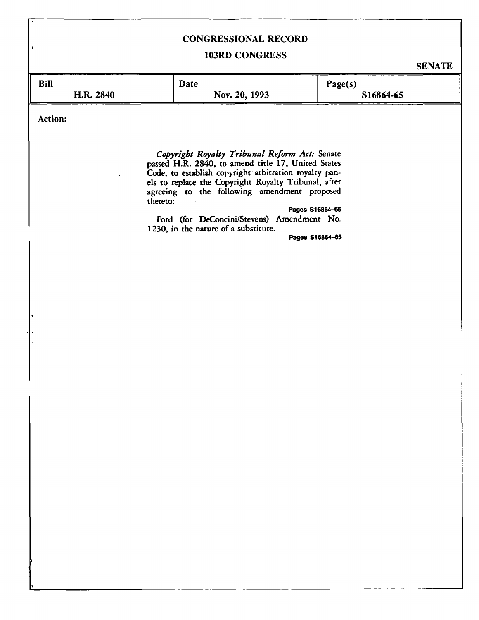## **CONGRESSIONAL RECORD**

## **103RD CONGRESS**

**SENATE** 

| <b>Bill</b> | <b>Date</b>   | Page(s)   |
|-------------|---------------|-----------|
| H.R. 2840   | Nov. 20, 1993 | S16864-65 |

**Action:** 

*Copyright Royalty Tribunal Reform Act:* **Senate passed H.R. 2840, to amend title 17, United States Code, to establish copyright arbitration royalty panels to replace the Copyright Royalty Tribunal, after agreeing to the following amendment proposed thereto:** 

## **Pages S16864-65**

**Ford (for DeConcini/Stevens) Amendment No. 1230, in the nature of a substitute.** 

**Pages S16864-65**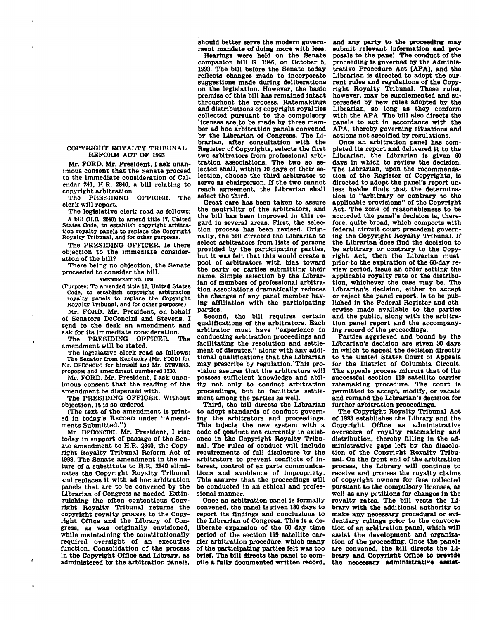## **COPYRIOHT ROYALTY TRIBUNAL REFORM ACT OF 1993**

**Mr. FORD. Mr. President, I ask unanimous consent that the Senate proceed to the immediate consideration of Calendar 241, H.R. 2840, a bill relating to copyright arbitration.** 

**The PRESIDING OFFICER. The clerk will report.** 

**The legislative clerk read as follows: A bill (H.R. 2840) to amend title IT. United States Code, to establish copyright arbitration royalty panels to replace the Copyright Royalty Tribunal, and for other purposes.** 

**The PRESIDING OFFICER. Is there objection to the immediate consideration of the bill?** 

**There being no objection, the Senate proceeded to consider the bill.** 

**AMENDMENT NO. 1250** 

**(Purpose: To amended title 17, United States Code, to establish copyright arbitration royalty panels to replace the Copyright Royalty Tribunal, and for other purposes)** 

**Mr. FORD. Mr. President, on behalf of Senators DeConclnl and Stevens, I send to the desk an amendment and ask for its Immediate consideration.** 

The PRESIDING OFFICER. **amendment will be stated.** 

**The legislative clerk read as follows: The Senator from Kentucky [Mr. FORD] for Mr. DECONCINI for himself and Mr. STEVENS, proposes and amendment numbered 1230.** 

**Mr. FORD. Mr. President, I ask unanimous consent that the reading of the amendment be dispensed with.** 

**The PRESIDING OFFICER. Without objection, It is so ordered.** 

**(The text of the amendment is printed in today's RECORD under "Amendments Submitted.")** 

**Mr. DECONCINI. Mr. President, I rise today in support of passage of the Senate amendment to H.R. 2840, the Copyright Royalty Tribunal Reform Act of 1993. The Senate amendment In the nature of a substitute to H.R. 2840 eliminates the Copyright Royalty Tribunal and replaces it with ad hoc arbitration panels that are to be convened by the Librarian of Congress as needed. Extinguishing the often contentious Copyright Royalty Tribunal returns the copyright royalty process to the Copyright Office and the Library of Congress, as was originally envisioned, while maintaining the constitutionally required oversight of an executive function. Consolidation of the process in the Copyright Office and Library, as administered by the arbitration panels,** 

**should better serve the modern government mandate of doing more with lees.** 

**Hearings were held on the Senate companion bill S. 1346, on October 5, 1993. The bill before the Senate today reflects changes made to incorporate suggestions made during deliberations on the legislation. However, the basic premise of this bill has remained Intact throughout the process. Ratemakings and distributions of copyright royalties collected pursuant to the compulsory licenses are to be made by three member ad hoc arbitration panels convened by the Librarian of Congress. The Librarian, after consultation with the Register of Copyrights, selects the first two arbitrators from professional arbitration associations. The two so selected shall, within 10 days of their selection, choose the third arbitrator to serve as chairperson. If the two cannot reach agreement, the Librarian shall select the third.** 

**Great care has been taken to assure the neutrality of the arbitrators, and the bill has been improved in this regard in several areas. First, the selection process has been revised. Originally, the bill directed the Librarian to select arbitrators from lists of persons provided by the participating parties, but It was felt that this would create a pool of arbitrators with bias toward the party or parties submitting their name. Simple selection by the Librarian of members of professional arbitration associations dramatically reduces the changes of any panel member having affiliation with the participating parties.** 

**Second, the bill requires certain qualifications of the arbitrators. Each arbitrator must have "experience in conducting arbitration proceedings and facilitating the resolution and settlement of disputes," along with any additional qualifications that the Librarian may prescribe by regulation. This provision assures that the arbitrators will possess sufficient knowledge and ability not only to conduct arbitration proceedings, but to facilitate settlement among the parties as well.** 

**Third, the bill directs the Librarian to adopt standards of conduct governing the arbitrators and proceedings. This injects the new system with a code of conduct not currently in existence in the Copyright Royalty Tribunal. The rules of conduct will Include requirements of full disclosure by the arbitrators to prevent conflicts of Interest, control of ex parte communications and avoidance of Impropriety. This assures that the proceedings will be conducted in an ethical and professional manner.** 

**Once an arbitration panel is formally convened, the panel Is given 180 days to report Its findings and conclusions to**  the Librarian of Congress. This is a de**liberate expansion of the 60 day time period of the section 119 satellite carrier arbitration procedure, which many of the participating parties felt was too brief. The bill directs the panel to compile a fully documented written record,** 

**and any party to the proceeding may - submit relevant information and proposals to the panel. The conduct of the proceeding is governed by the Administrative Procedure Act [APA], and the Librarian is directed to adopt the current rules and regulations of the Copyright Royalty Tribunal. These rules, however, may be supplemented and superseded by new rules adopted by the Librarian, so long as they conform with the APA. The bill also directs the panels to act in accordance with the APA, thereby governing situations and actions not specified by regulations.** 

**Once an arbitration panel has completed Its report and delivered It to the Librarian, the Librarian is given 60 days in which to review the decision. The Librarian, upon the recommendation of the Register of Copyrights, is directed to adopt the panel's report unless he/she finds that the determination is "arbitrary or contrary to the applicable provisions" of the Copyright Act. The zone of reasonableness to be accorded the panel's decision is, therefore, quite broad, which comports with**  federal circuit court precedent govern**ing the Copyright Royalty Tribunal. If the Librarian does find the decision to be arbitrary or contrary to the Copyright Act, then the Librarian must, prior to the expiration of the 60-day review period, issue an order setting the applicable royalty rate or the distribution, whichever the case may be. The Librarian's decision, either to accept or reject the panel report, is to be published In the Federal Register and otherwise made available to the parties and the public, along with the arbitration panel report and the accompanying record of the proceedings.** 

**Parties aggrieved and bound by the Librarian's decision are given 30 days In which to appeal the decision directly to the United States Court of Appeals for the District of Columbia Circuit. The appeals process mirrors that of the successful section 119 satellite carrier ratemaklng procedure. The court Is permitted to accept, modify, or vacate and remand the Librarian's decision for further arbitration proceedings.** 

**The Copyright Royalty Tribunal Act of 1993 establishes the Library and the Copyright Office as administrative overseers of royalty ratemaklng and distribution, thereby filling in the administrative gaps left by the dissolution of the Copyright Royalty Tribunal. On the front end of the arbitration process, the Library will continue to receive and process the royalty claims of copyright owners for fees collected pursuant to the compulsory licenses, as well as any petitions for changes in the royalty rates. The bill vests the Library with the additional authority to make any necessary procedural or evi**make any necessary procedural or evi-<br>dentia<del>ny</del> multigrapy to the convoca**tion of an arbitration panel, which will assist the development and organisa**assist the development and organization of the proceeding. Once the panels are convened, the bill directs the Library and Copyright Office to previde<br>the necessary administrative assist-